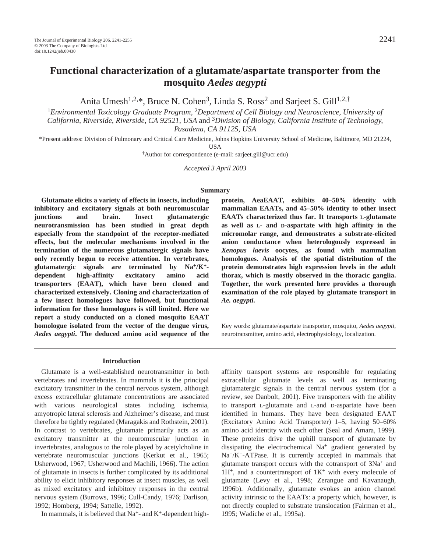# **Functional characterization of a glutamate/aspartate transporter from the mosquito** *Aedes aegypti*

Anita Umesh<sup>1,2,\*</sup>, Bruce N. Cohen<sup>3</sup>, Linda S. Ross<sup>2</sup> and Sarjeet S. Gill<sup>1,2,†</sup>

<sup>1</sup>*Environmental Toxicology Graduate Program*, <sup>2</sup>*Department of Cell Biology and Neuroscience, University of California, Riverside, Riverside, CA 92521, USA* and 3*Division of Biology, California Institute of Technology, Pasadena, CA 91125, USA*

\*Present address: Division of Pulmonary and Critical Care Medicine, Johns Hopkins University School of Medicine, Baltimore, MD 21224,

USA

†Author for correspondence (e-mail: sarjeet.gill@ucr.edu)

*Accepted 3 April 2003* 

#### **Summary**

**Glutamate elicits a variety of effects in insects, including inhibitory and excitatory signals at both neuromuscular junctions and brain. Insect glutamatergic neurotransmission has been studied in great depth especially from the standpoint of the receptor-mediated effects, but the molecular mechanisms involved in the termination of the numerous glutamatergic signals have only recently begun to receive attention. In vertebrates, glutamatergic signals are terminated by Na+/K+ dependent high-affinity excitatory amino acid transporters (EAAT), which have been cloned and characterized extensively. Cloning and characterization of a few insect homologues have followed, but functional information for these homologues is still limited. Here we report a study conducted on a cloned mosquito EAAT homologue isolated from the vector of the dengue virus,** *Aedes aegypti***. The deduced amino acid sequence of the**

**protein, AeaEAAT, exhibits 40–50% identity with mammalian EAATs, and 45–50% identity to other insect EAATs characterized thus far. It transports L-glutamate as well as L- and D-aspartate with high affinity in the micromolar range, and demonstrates a substrate-elicited anion conductance when heterologously expressed in** *Xenopus laevis* **oocytes, as found with mammalian homologues. Analysis of the spatial distribution of the protein demonstrates high expression levels in the adult thorax, which is mostly observed in the thoracic ganglia. Together, the work presented here provides a thorough examination of the role played by glutamate transport in** *Ae. aegypti.*

Key words: glutamate/aspartate transporter, mosquito, *Aedes aegypti*, neurotransmitter, amino acid, electrophysiology, localization.

#### **Introduction**

Glutamate is a well-established neurotransmitter in both vertebrates and invertebrates. In mammals it is the principal excitatory transmitter in the central nervous system, although excess extracellular glutamate concentrations are associated with various neurological states including ischemia, amyotropic lateral sclerosis and Alzheimer's disease, and must therefore be tightly regulated (Maragakis and Rothstein, 2001). In contrast to vertebrates, glutamate primarily acts as an excitatory transmitter at the neuromuscular junction in invertebrates, analogous to the role played by acetylcholine in vertebrate neuromuscular junctions (Kerkut et al., 1965; Usherwood, 1967; Usherwood and Machili, 1966). The action of glutamate in insects is further complicated by its additional ability to elicit inhibitory responses at insect muscles, as well as mixed excitatory and inhibitory responses in the central nervous system (Burrows, 1996; Cull-Candy, 1976; Darlison, 1992; Homberg, 1994; Sattelle, 1992).

In mammals, it is believed that  $Na^+$ - and  $K^+$ -dependent high-

affinity transport systems are responsible for regulating extracellular glutamate levels as well as terminating glutamatergic signals in the central nervous system (for a review, see Danbolt, 2001). Five transporters with the ability to transport L-glutamate and L-and D-aspartate have been identified in humans. They have been designated EAAT (Excitatory Amino Acid Transporter) 1–5, having 50–60% amino acid identity with each other (Seal and Amara, 1999). These proteins drive the uphill transport of glutamate by dissipating the electrochemical  $Na<sup>+</sup>$  gradient generated by  $Na^{+}/K^{+}$ -ATPase. It is currently accepted in mammals that glutamate transport occurs with the cotransport of 3Na+ and  $1H^+$ , and a countertransport of  $1K^+$  with every molecule of glutamate (Levy et al., 1998; Zerangue and Kavanaugh, 1996b). Additionally, glutamate evokes an anion channel activity intrinsic to the EAATs: a property which, however, is not directly coupled to substrate translocation (Fairman et al., 1995; Wadiche et al., 1995a).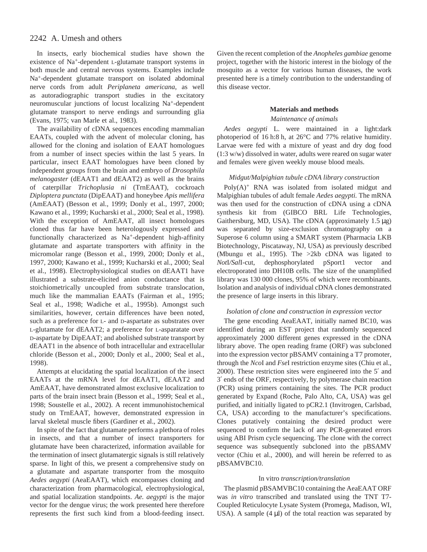In insects, early biochemical studies have shown the existence of Na+-dependent L-glutamate transport systems in both muscle and central nervous systems. Examples include Na+-dependent glutamate transport on isolated abdominal nerve cords from adult *Periplaneta americana*, as well as autoradiographic transport studies in the excitatory neuromuscular junctions of locust localizing Na+-dependent glutamate transport to nerve endings and surrounding glia (Evans, 1975; van Marle et al., 1983).

The availability of cDNA sequences encoding mammalian EAATs, coupled with the advent of molecular cloning, has allowed for the cloning and isolation of EAAT homologues from a number of insect species within the last 5 years. In particular, insect EAAT homologues have been cloned by independent groups from the brain and embryo of *Drosophila melanogaster* (dEAAT1 and dEAAT2) as well as the brains of caterpillar *Trichoplusia ni* (TrnEAAT), cockroach *Diploptera punctata* (DipEAAT) and honeybee *Apis mellifera* (AmEAAT) (Besson et al., 1999; Donly et al., 1997, 2000; Kawano et al., 1999; Kucharski et al., 2000; Seal et al., 1998). With the exception of AmEAAT, all insect homologues cloned thus far have been heterologously expressed and functionally characterized as Na<sup>+</sup>-dependent high-affinity glutamate and aspartate transporters with affinity in the micromolar range (Besson et al., 1999, 2000; Donly et al., 1997, 2000; Kawano et al., 1999; Kucharski et al., 2000; Seal et al., 1998). Electrophysiological studies on dEAAT1 have illustrated a substrate-elicited anion conductance that is stoichiometrically uncoupled from substrate translocation, much like the mammalian EAATs (Fairman et al., 1995; Seal et al., 1998; Wadiche et al., 1995b). Amongst such similarities, however, certain differences have been noted, such as a preference for L- and D-aspartate as substrates over L-glutamate for dEAAT2; a preference for L-asparatate over D-aspartate by DipEAAT; and abolished substrate transport by dEAAT1 in the absence of both intracellular and extracellular chloride (Besson et al., 2000; Donly et al., 2000; Seal et al., 1998).

Attempts at elucidating the spatial localization of the insect EAATs at the mRNA level for dEAAT1, dEAAT2 and AmEAAT, have demonstrated almost exclusive localization to parts of the brain insect brain (Besson et al., 1999; Seal et al., 1998; Soustelle et al., 2002). A recent immunohistochemical study on TrnEAAT, however, demonstrated expression in larval skeletal muscle fibers (Gardiner et al., 2002).

In spite of the fact that glutamate performs a plethora of roles in insects, and that a number of insect transporters for glutamate have been characterized, information available for the termination of insect glutamatergic signals is still relatively sparse. In light of this, we present a comprehensive study on a glutamate and aspartate transporter from the mosquito *Aedes aegypti* (AeaEAAT), which encompasses cloning and characterization from pharmacological, electrophysiological, and spatial localization standpoints. *Ae. aegypti* is the major vector for the dengue virus; the work presented here therefore represents the first such kind from a blood-feeding insect.

Given the recent completion of the *Anopheles gambiae* genome project, together with the historic interest in the biology of the mosquito as a vector for various human diseases, the work presented here is a timely contribution to the understanding of this disease vector.

#### **Materials and methods**

#### *Maintenance of animals*

*Aedes aegypti* L. were maintained in a light:dark photoperiod of 16 h:8 h, at 26°C and 77% relative humidity. Larvae were fed with a mixture of yeast and dry dog food (1:3 w/w) dissolved in water, adults were reared on sugar water and females were given weekly mouse blood meals.

### *Midgut/Malpighian tubule cDNA library construction*

 $Poly(A)^+$  RNA was isolated from isolated midgut and Malpighian tubules of adult female *Aedes aegypti.* The mRNA was then used for the construction of cDNA using a cDNA synthesis kit from (GIBCO BRL Life Technologies, Gaithersburg, MD, USA). The cDNA (approximately  $1.5 \mu g$ ) was separated by size-exclusion chromatography on a Superose 6 column using a SMART system (Pharmacia LKB Biotechnology, Piscataway, NJ, USA) as previously described (Mbungu et al., 1995). The >2kb cDNA was ligated to *Not*I*/Sal*I-cut, dephosphorylated pSport1 vector and electroporated into DH10B cells. The size of the unamplified library was 130 000 clones, 95% of which were recombinants. Isolation and analysis of individual cDNA clones demonstrated the presence of large inserts in this library.

### *Isolation of clone and construction in expression vector*

The gene encoding AeaEAAT, initially named BC10, was identified during an EST project that randomly sequenced approximately 2000 different genes expressed in the cDNA library above. The open reading frame (ORF) was subcloned into the expression vector pBSAMV containing a T7 promoter, through the *Nco*I and *Fse*I restriction enzyme sites (Chiu et al., 2000). These restriction sites were engineered into the 5′ and 3′ ends of the ORF, respectively, by polymerase chain reaction (PCR) using primers containing the sites. The PCR product generated by Expand (Roche, Palo Alto, CA, USA) was gel purified, and initially ligated to pCR2.1 (Invitrogen, Carlsbad, CA, USA) according to the manufacturer's specifications. Clones putatively containing the desired product were sequenced to confirm the lack of any PCR-generated errors using ABI Prism cycle sequencing. The clone with the correct sequence was subsequently subcloned into the pBSAMV vector (Chiu et al., 2000), and will herein be referred to as pBSAMVBC10.

#### In vitro *transcription/translation*

The plasmid pBSAMVBC10 containing the AeaEAAT ORF was *in vitro* transcribed and translated using the TNT T7- Coupled Reticulocyte Lysate System (Promega, Madison, WI, USA). A sample  $(4 \mu l)$  of the total reaction was separated by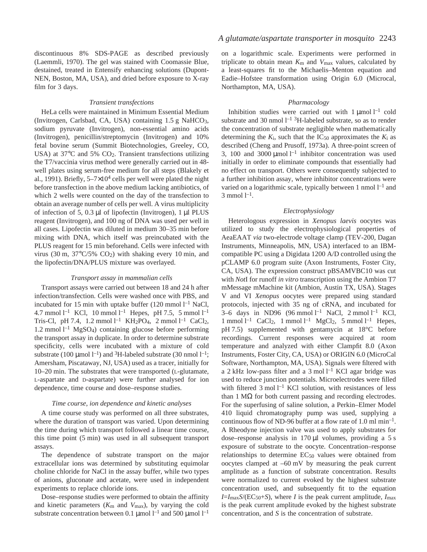discontinuous 8% SDS-PAGE as described previously (Laemmli, 1970). The gel was stained with Coomassie Blue, destained, treated in Entensify enhancing solutions (Dupont-NEN, Boston, MA, USA), and dried before exposure to X-ray film for 3 days.

#### *Transient transfections*

HeLa cells were maintained in Minimum Essential Medium (Invitrogen, Carlsbad, CA, USA) containing 1.5 g NaHCO3, sodium pyruvate (Invitrogen), non-essential amino acids (Invitrogen), penicillin/streptomycin (Invitrogen) and 10% fetal bovine serum (Summit Biotechnologies, Greeley, CO, USA) at  $37^{\circ}$ C and  $5\%$  CO<sub>2</sub>. Transient transfections utilizing the T7/vaccinia virus method were generally carried out in 48 well plates using serum-free medium for all steps (Blakely et al., 1991). Briefly,  $5-7\times10^4$  cells per well were plated the night before transfection in the above medium lacking antibiotics, of which 2 wells were counted on the day of the transfection to obtain an average number of cells per well. A virus multiplicity of infection of 5, 0.3  $\mu$ l of lipofectin (Invitrogen), 1  $\mu$ l PLUS reagent (Invitrogen), and 100 ng of DNA was used per well in all cases. Lipofectin was diluted in medium 30–35 min before mixing with DNA, which itself was preincubated with the PLUS reagent for 15 min beforehand. Cells were infected with virus (30 m,  $37^{\circ}$ C/5% CO<sub>2</sub>) with shaking every 10 min, and the lipofectin/DNA/PLUS mixture was overlayed.

#### *Transport assay in mammalian cells*

Transport assays were carried out between 18 and 24 h after infection/transfection. Cells were washed once with PBS, and incubated for 15 min with uptake buffer  $(120 \text{ mmol } l^{-1} \text{ NaCl},$ 4.7 mmol  $l^{-1}$  KCl, 10 mmol  $l^{-1}$  Hepes, pH 7.5, 5 mmol  $l^{-1}$ Tris-Cl, pH 7.4, 1.2 mmol  $l^{-1}$  KH<sub>2</sub>PO<sub>4</sub>, 2 mmol  $l^{-1}$  CaCl<sub>2</sub>, 1.2 mmol  $l^{-1}$  MgSO<sub>4</sub>) containing glucose before performing the transport assay in duplicate. In order to determine substrate specificity, cells were incubated with a mixture of cold substrate (100 µmol  $l^{-1}$ ) and <sup>3</sup>H-labeled substrate (30 nmol  $l^{-1}$ ; Amersham, Piscataway, NJ, USA) used as a tracer, initially for 10–20 min. The substrates that were transported (L-glutamate, L-aspartate and D-aspartate) were further analysed for ion dependence, time course and dose–response studies.

#### *Time course, ion dependence and kinetic analyses*

A time course study was performed on all three substrates, where the duration of transport was varied. Upon determining the time during which transport followed a linear time course, this time point  $(5 \text{ min})$  was used in all subsequent transport assays.

The dependence of substrate transport on the major extracellular ions was determined by substituting equimolar choline chloride for NaCl in the assay buffer, while two types of anions, gluconate and acetate, were used in independent experiments to replace chloride ions.

Dose–response studies were performed to obtain the affinity and kinetic parameters (*K*m and *V*max), by varying the cold substrate concentration between 0.1 µmol  $l^{-1}$  and 500 µmol  $l^{-1}$ 

on a logarithmic scale. Experiments were performed in triplicate to obtain mean  $K_{\rm m}$  and  $V_{\rm max}$  values, calculated by a least-squares fit to the Michaelis–Menton equation and Eadie–Hofstee transformation using Origin 6.0 (Microcal, Northampton, MA, USA).

#### *Pharmacology*

Inhibition studies were carried out with  $1 \mu$ mol  $l^{-1}$  cold substrate and 30 nmol  $1^{-1}$  <sup>3</sup>H-labeled substrate, so as to render the concentration of substrate negligible when mathematically determining the  $K_i$ , such that the  $IC_{50}$  approximates the  $K_i$  as described (Cheng and Prusoff, 1973a). A three-point screen of 3, 100 and 3000  $\mu$ mol l<sup>-1</sup> inhibitor concentration was used initially in order to eliminate compounds that essentially had no effect on transport. Others were consequently subjected to a further inhibition assay, where inhibitor concentrations were varied on a logarithmic scale, typically between  $1$  nmol  $1^{-1}$  and  $3 \text{ mmol } 1^{-1}.$ 

#### *Electrophysiology*

Heterologous expression in *Xenopus laevis* oocytes was utilized to study the electrophysiological properties of AeaEAAT *via* two-electrode voltage clamp (TEV-200, Dagan Instruments, Minneapolis, MN, USA) interfaced to an IBMcompatible PC using a Digidata 1200 A/D controlled using the pCLAMP 6.0 program suite (Axon Instruments, Foster City, CA, USA). The expression construct pBSAMVBC10 was cut with *Not*I for runoff *in vitro* transcription using the Ambion T7 mMessage mMachine kit (Ambion, Austin TX, USA). Stages V and VI *Xenopus* oocytes were prepared using standard protocols, injected with 35 ng of cRNA, and incubated for 3–6 days in ND96 (96 mmol  $l^{-1}$  NaCl, 2 mmol  $l^{-1}$  KCl, 1 mmol  $l^{-1}$  CaCl<sub>2</sub>, 1 mmol  $l^{-1}$  MgCl<sub>2</sub>, 5 mmol  $l^{-1}$  Hepes, pH 7.5) supplemented with gentamycin at 18°C before recordings. Current responses were acquired at room temperature and analyzed with either Clampfit 8.0 (Axon Instruments, Foster City, CA, USA) or ORIGIN 6.0 (MicroCal Software, Northampton, MA, USA). Signals were filtered with a 2 kHz low-pass filter and a 3 mol  $l^{-1}$  KCl agar bridge was used to reduce junction potentials. Microelectrodes were filled with filtered  $3 \text{ mol } l^{-1}$  KCl solution, with resistances of less than 1  $\text{MΩ}$  for both current passing and recording electrodes. For the superfusing of saline solution, a Perkin–Elmer Model 410 liquid chromatography pump was used, supplying a continuous flow of ND-96 buffer at a flow rate of 1.0 ml min<sup>-1</sup>. A Rheodyne injection valve was used to apply substrates for dose–response analysis in  $170 \mu l$  volumes, providing a 5 s exposure of substrate to the oocyte. Concentration–response relationships to determine  $EC_{50}$  values were obtained from oocytes clamped at  $-60$  mV by measuring the peak current amplitude as a function of substrate concentration. Results were normalized to current evoked by the highest substrate concentration used, and subsequently fit to the equation  $I = I_{\text{max}} S / (EC_{50} + S)$ , where *I* is the peak current amplitude,  $I_{\text{max}}$ is the peak current amplitude evoked by the highest substrate concentration, and *S* is the concentration of substrate.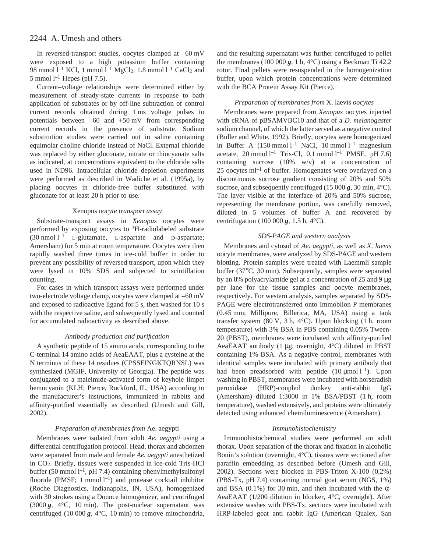In reversed-transport studies, oocytes clamped at -60 mV were exposed to a high potassium buffer containing 98 mmol  $l^{-1}$  KCl, 1 mmol  $l^{-1}$  MgCl<sub>2</sub>, 1.8 mmol  $l^{-1}$  CaCl<sub>2</sub> and 5 mmol  $l^{-1}$  Hepes (pH 7.5).

Current–voltage relationships were determined either by measurement of steady-state currents in response to bath application of substrates or by off-line subtraction of control current records obtained during 1 ms voltage pulses to potentials between  $-60$  and  $+50$  mV from corresponding current records in the presence of substrate. Sodium substitution studies were carried out in saline containing equimolar choline chloride instead of NaCl. External chloride was replaced by either gluconate, nitrate or thiocyanate salts as indicated, at concentrations equivalent to the chloride salts used in ND96. Intracellular chloride depletion experiments were performed as described in Wadiche et al. (1995a), by placing oocytes in chloride-free buffer substituted with gluconate for at least 20 h prior to use.

#### Xenopus *oocyte transport assay*

Substrate-transport assays in *Xenopus* oocytes were performed by exposing oocytes to  ${}^{3}$ H-radiolabeled substrate  $(30 \text{ nmol } l^{-1}$  L-glutamate, L-aspartate and D-aspartate; Amersham) for 5 min at room temperature. Oocytes were then rapidly washed three times in ice-cold buffer in order to prevent any possibility of reversed transport, upon which they were lysed in 10% SDS and subjected to scintillation counting.

For cases in which transport assays were performed under two-electrode voltage clamp, oocytes were clamped at –60 mV and exposed to radioactive ligand for  $5s$ , then washed for  $10s$ with the respective saline, and subsequently lysed and counted for accumulated radioactivity as described above.

#### *Antibody production and purification*

A synthetic peptide of 15 amino acids, corresponding to the C-terminal 14 amino acids of AeaEAAT, plus a cysteine at the N terminus of these 14 residues (CPSSEINGKTQRNSL) was synthesized (MGIF, University of Georgia). The peptide was conjugated to a maleimide-activated form of keyhole limpet hemocyanin (KLH; Pierce, Rockford, IL, USA) according to the manufacturer's instructions, immunized in rabbits and affinity-purified essentially as described (Umesh and Gill, 2002).

#### *Preparation of membranes from* Ae. aegypti

Membranes were isolated from adult *Ae. aegypti* using a differential centrifugation protocol. Head, thorax and abdomen were separated from male and female *Ae. aegypti* anesthetized in CO2. Briefly, tissues were suspended in ice-cold Tris-HCl buffer (50 mmol l<sup>-1</sup>, pH 7.4) containing phenylmethylsulfonyl fluoride (PMSF; 1 mmol  $l^{-1}$ ) and protease cocktail inhibitor (Roche Diagnostics, Indianapolis, IN, USA), homogenized with 30 strokes using a Dounce homogenizer, and centrifuged (3000 $g$ , 4 $\degree$ C, 10 min). The post-nuclear supernatant was centrifuged (10 000  $g$ , 4°C, 10 min) to remove mitochondria, and the resulting supernatant was further centrifuged to pellet the membranes (100 000  $g$ , 1 h, 4<sup>o</sup>C) using a Beckman Ti 42.2 rotor. Final pellets were resuspended in the homogenization buffer, upon which protein concentrations were determined with the BCA Protein Assay Kit (Pierce).

#### *Preparation of membranes from* X. laevis *oocytes*

Membranes were prepared from *Xenopus* oocytes injected with cRNA of pBSAMVBC10 and that of a *D. melanogaster* sodium channel, of which the latter served as a negative control (Buller and White, 1992). Briefly, oocytes were homogenized in Buffer A  $(150 \text{ mmol } l^{-1}$  NaCl, 10 mmol  $l^{-1}$  magnesium acetate, 20 mmol  $l^{-1}$  Tris-Cl, 0.1 mmol  $l^{-1}$  PMSF, pH 7.6) containing sucrose (10% w/v) at a concentration of 25 oocytes  $ml^{-1}$  of buffer. Homogenates were overlayed on a discontinuous sucrose gradient consisting of 20% and 50% sucrose, and subsequently centrifuged (15 000  $\mathbf{g}$ , 30 min, 4°C). The layer visible at the interface of 20% and 50% sucrose, representing the membrane portion, was carefully removed, diluted in 5 volumes of buffer A and recovered by centrifugation (100 000  $g$ , 1.5 h, 4<sup>o</sup>C).

### *SDS-PAGE and western analysis*

Membranes and cytosol of *Ae. aegypti,* as well as *X. laevis* oocyte membranes, were analyzed by SDS-PAGE and western blotting. Protein samples were treated with Laemmli sample buffer (37°C, 30 min). Subsequently, samples were separated by an 8% polyacrylamide gel at a concentration of 25 and 9  $\mu$ g per lane for the tissue samples and oocyte membranes, respectively. For western analysis, samples separated by SDS-PAGE were electrotransferred onto Immobilon P membranes (0.45 mm; Millipore, Billerica, MA, USA) using a tank transfer system (80 V, 3 h, 4 $^{\circ}$ C). Upon blocking (1 h, room temperature) with 3% BSA in PBS containing 0.05% Tween-20 (PBST), membranes were incubated with affinity-purified AeaEAAT antibody  $(1 \mu g,$  overnight,  $4^{\circ}$ C) diluted in PBST containing 1% BSA. As a negative control, membranes with identical samples were incubated with primary antibody that had been preadsorbed with peptide  $(10 \mu \text{mol})^{-1}$ ). Upon washing in PBST, membranes were incubated with horseradish peroxidase (HRP)-coupled donkey anti-rabbit IgG (Amersham) diluted  $1:3000$  in  $1\%$  BSA/PBST (1 h, room temperature), washed extensively, and proteins were ultimately detected using enhanced chemiluminescence (Amersham).

#### *Immunohistochemistry*

Immunohistochemical studies were performed on adult thorax. Upon separation of the thorax and fixation in alcoholic Bouin's solution (overnight, 4°C), tissues were sectioned after paraffin embedding as described before (Umesh and Gill, 2002). Sections were blocked in PBS-Triton X-100 (0.2%) (PBS-Tx,  $pH7.4$ ) containing normal goat serum (NGS, 1%) and BSA (0.1%) for 30 min, and then incubated with the  $\alpha$ -AeaEAAT (1/200 dilution in blocker, 4°C, overnight). After extensive washes with PBS-Tx, sections were incubated with HRP-labeled goat anti rabbit IgG (American Qualex, San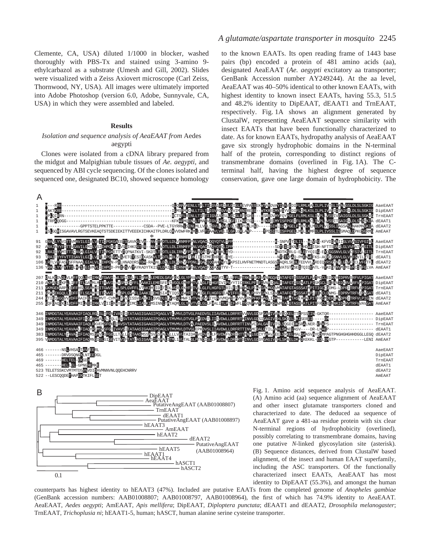Clemente, CA, USA) diluted 1/1000 in blocker, washed thoroughly with PBS-Tx and stained using 3-amino 9 ethylcarbazol as a substrate (Umesh and Gill, 2002). Slides were visualized with a Zeiss Axiovert microscope (Carl Zeiss, Thornwood, NY, USA). All images were ultimately imported into Adobe Photoshop (version 6.0, Adobe, Sunnyvale, CA, USA) in which they were assembled and labeled.

#### **Results**

### *Isolation and sequence analysis of AeaEAAT from* Aedes aegypti

Clones were isolated from a cDNA library prepared from the midgut and Malpighian tubule tissues of *Ae. aegypti*, and sequenced by ABI cycle sequencing. Of the clones isolated and sequenced one, designated BC10, showed sequence homology

### *A glutamate/aspartate transporter in mosquito* 2245

to the known EAATs. Its open reading frame of 1443 base pairs (bp) encoded a protein of 481 amino acids (aa), designated AeaEAAT (*Ae. aegypti* excitatory aa transporter; GenBank Accession number AY249244). At the aa level, AeaEAAT was 40–50% identical to other known EAATs, with highest identity to known insect EAATs, having 55.3, 51.5 and 48.2% identity to DipEAAT, dEAAT1 and TrnEAAT, respectively. Fig. 1A shows an alignment generated by ClustalW, representing AeaEAAT sequence similarity with insect EAATs that have been functionally characterized to date. As for known EAATs, hydropathy analysis of AeaEAAT gave six strongly hydrophobic domains in the N-terminal half of the protein, corresponding to distinct regions of transmembrane domains (overlined in Fig. 1A). The Cterminal half, having the highest degree of sequence conservation, gave one large domain of hydrophobicity. The



0.1 PutativeAngEAAT hEAAT5 (AAB01008964) hEAAT1 hEAAT4 hASCT1 hASCT<sub>2</sub>

one putative *N*-linked glycosylation site (asterisk). (B) Sequence distances, derived from ClustalW based alignment, of the insect and human EAAT superfamily, including the ASC transporters. Of the functionally characterized insect EAATs, AeaEAAT has most identity to DipEAAT (55.3%), and amongst the human

counterparts has highest identity to hEAAT3 (47%). Included are putative EAATs from the completed genome of *Anopheles gambiae* (GenBank accession numbers: AAB01008807; AAB01008797, AAB01008964)*,* the first of which has 74.9% identity to AeaEAAT*.* AeaEAAT, *Aedes aegypti*; AmEAAT, *Apis mellifera*; DipEAAT, *Diploptera punctata*; dEAAT1 and dEAAT2, *Drosophila melanogaster*; TrnEAAT, *Trichoplusia ni*; hEAAT1-5, human; hASCT, human alanine serine cysteine transporter.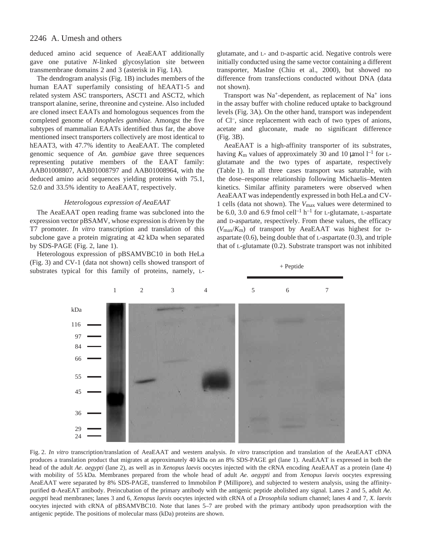deduced amino acid sequence of AeaEAAT additionally gave one putative *N*-linked glycosylation site between transmembrane domains  $2$  and  $3$  (asterisk in Fig. 1A).

The dendrogram analysis (Fig. 1B) includes members of the human EAAT superfamily consisting of hEAAT1-5 and related system ASC transporters, ASCT1 and ASCT2, which transport alanine, serine, threonine and cysteine. Also included are cloned insect EAATs and homologous sequences from the completed genome of *Anopheles gambiae.* Amongst the five subtypes of mammalian EAATs identified thus far, the above mentioned insect transporters collectively are most identical to hEAAT3, with 47.7% identity to AeaEAAT. The completed genomic sequence of *An. gambiae* gave three sequences representing putative members of the EAAT family: AAB01008807, AAB01008797 and AAB01008964, with the deduced amino acid sequences yielding proteins with 75.1, 52.0 and 33.5% identity to AeaEAAT, respectively.

### *Heterologous expression of AeaEAAT*

The AeaEAAT open reading frame was subcloned into the expression vector pBSAMV, whose expression is driven by the T7 promoter. *In vitro* transcription and translation of this subclone gave a protein migrating at 42 kDa when separated by SDS-PAGE (Fig. 2, lane 1).

Heterologous expression of pBSAMVBC10 in both HeLa (Fig. 3) and CV-1 (data not shown) cells showed transport of substrates typical for this family of proteins, namely, L-

glutamate, and L- and D-aspartic acid. Negative controls were initially conducted using the same vector containing a different transporter, MasIne (Chiu et al., 2000), but showed no difference from transfections conducted without DNA (data not shown).

Transport was  $Na^+$ -dependent, as replacement of  $Na^+$  ions in the assay buffer with choline reduced uptake to background levels (Fig. 3A). On the other hand, transport was independent of Cl–, since replacement with each of two types of anions, acetate and gluconate, made no significant difference (Fig. 3B).

AeaEAAT is a high-affinity transporter of its substrates, having  $K_{\rm m}$  values of approximately 30 and 10  $\mu$ mol l<sup>-1</sup> for Lglutamate and the two types of aspartate, respectively (Table 1). In all three cases transport was saturable, with the dose–response relationship following Michaelis–Menten kinetics. Similar affinity parameters were observed when AeaEAAT was independently expressed in both HeLa and CV-1 cells (data not shown). The *V*max values were determined to be 6.0, 3.0 and 6.9 fmol cell<sup>-1</sup> h<sup>-1</sup> for L-glutamate, L-aspartate and D-aspartate, respectively. From these values, the efficacy (*V*max/*K*m) of transport by AeaEAAT was highest for Daspartate (0.6), being double that of L-aspartate (0.3), and triple that of L-glutamate (0.2). Substrate transport was not inhibited

+ Peptide



Fig. 2. *In vitro* transcription/translation of AeaEAAT and western analysis. *In vitro* transcription and translation of the AeaEAAT cDNA produces a translation product that migrates at approximately 40·kDa on an 8% SDS-PAGE gel (lane 1). AeaEAAT is expressed in both the head of the adult *Ae. aegypti* (lane 2), as well as in *Xenopus laevis* oocytes injected with the cRNA encoding AeaEAAT as a protein (lane 4) with mobility of 55·kDa. Membranes prepared from the whole head of adult *Ae. aegypti* and from *Xenopus laevis* oocytes expressing AeaEAAT were separated by 8% SDS-PAGE, transferred to Immobilon P (Millipore), and subjected to western analysis, using the affinitypurified α-AeaEAT antibody. Preincubation of the primary antibody with the antigenic peptide abolished any signal. Lanes 2 and 5, adult *Ae. aegypti* head membranes; lanes 3 and 6, *Xenopus laevis* oocytes injected with cRNA of a *Drosophila* sodium channel; lanes 4 and 7, *X. laevis* oocytes injected with cRNA of pBSAMVBC10. Note that lanes 5–7 are probed with the primary antibody upon preadsorption with the antigenic peptide. The positions of molecular mass (kDa) proteins are shown.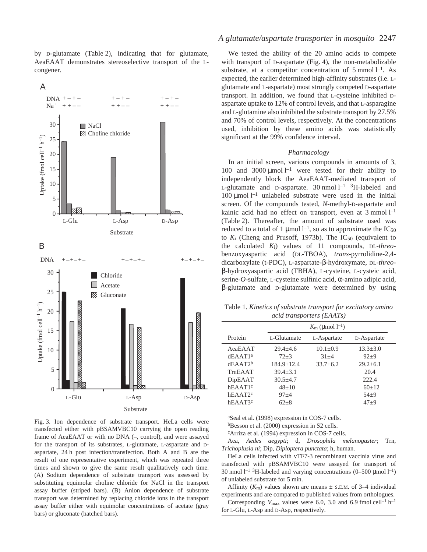by D-glutamate (Table 2), indicating that for glutamate, AeaEAAT demonstrates stereoselective transport of the Lcongener.







### *A glutamate/aspartate transporter in mosquito* 2247

We tested the ability of the 20 amino acids to compete with transport of  $D$ -aspartate (Fig. 4), the non-metabolizable substrate, at a competitor concentration of 5 mmol  $l^{-1}$ . As expected, the earlier determined high-affinity substrates (i.e. Lglutamate and L-aspartate) most strongly competed D-aspartate transport. In addition, we found that L-cysteine inhibited Daspartate uptake to 12% of control levels, and that L-asparagine and L-glutamine also inhibited the substrate transport by 27.5% and 70% of control levels, respectively. At the concentrations used, inhibition by these amino acids was statistically significant at the 99% confidence interval.

#### *Pharmacology*

In an initial screen, various compounds in amounts of 3, 100 and 3000  $\mu$ mol<sup>1-1</sup> were tested for their ability to independently block the AeaEAAT-mediated transport of L-glutamate and D-aspartate.  $30 \text{ nmol } l^{-1}$  <sup>3</sup>H-labeled and 100  $\mu$ mol l<sup>-1</sup> unlabeled substrate were used in the initial screen. Of the compounds tested, *N*-methyl-D-aspartate and kainic acid had no effect on transport, even at  $3$  mmol  $l^{-1}$ (Table 2). Thereafter, the amount of substrate used was reduced to a total of 1 µmol  $l^{-1}$ , so as to approximate the IC<sub>50</sub> to *K*<sub>i</sub> (Cheng and Prusoff, 1973b). The IC<sub>50</sub> (equivalent to the calculated *K*i) values of 11 compounds, DL-*threo*benzoxyaspartic acid (DL-TBOA), *trans-*pyrrolidine-2,4 dicarboxylate (t*-*PDC), L-aspartate-β-hydroxymate, DL-*threo*β-hydroxyaspartic acid (TBHA), L-cysteine, L-cysteic acid, serine-*O*-sulfate, L-cysteine sulfinic acid, α-amino adipic acid, β-glutamate and D-glutamate were determined by using

Table 1. *Kinetics of substrate transport for excitatory amino acid transporters (EAATs)*

|                         | $K_{\rm m}$ (µmol $l^{-1}$ ) |                |              |  |  |  |  |
|-------------------------|------------------------------|----------------|--------------|--|--|--|--|
| Protein                 | L-Glutamate                  | L-Aspartate    | D-Aspartate  |  |  |  |  |
| AeaEAAT                 | $29.4 + 4.6$                 | $10.1 \pm 0.9$ | $13.3 + 3.0$ |  |  |  |  |
| dEAAT1 <sup>a</sup>     | $72 + 3$                     | $31 + 4$       | $92 + 9$     |  |  |  |  |
| $dEAA$ T <sub>2</sub> b | $184.9 + 12.4$               | $33.7 + 6.2$   | $29.2+6.1$   |  |  |  |  |
| TrnEAAT                 | $39.4 + 3.1$                 |                | 20.4         |  |  |  |  |
| DipEAAT                 | $30.5 + 4.7$                 |                | 222.4        |  |  |  |  |
| $hEAA$ T1 <sup>c</sup>  | $48+10$                      |                | $60+12$      |  |  |  |  |
| hEAAT2 <sup>c</sup>     | $97 + 4$                     |                | $54+9$       |  |  |  |  |
| hEAAT3 <sup>c</sup>     | $62 + 8$                     |                | $47+9$       |  |  |  |  |
|                         |                              |                |              |  |  |  |  |

aSeal et al. (1998) expression in COS-7 cells.

bBesson et al. (2000) expression in S2 cells.

cArriza et al. (1994) expression in COS-7 cells.

Aea, *Aedes aegypti*; d, *Drosophila melanogaster*; Trn, *Trichoplusia ni*; Dip, *Diploptera punctata*; h, human.

HeLa cells infected with vTF7-3 recombinant vaccinia virus and transfected with pBSAMVBC10 were assayed for transport of 30 nmol  $l^{-1}$  <sup>3</sup>H-labeled and varying concentrations (0–500 µmol  $l^{-1}$ ) of unlabeled substrate for 5 min.

Affinity  $(K<sub>m</sub>)$  values shown are means  $\pm$  s.e.m. of 3–4 individual experiments and are compared to published values from orthologues.

Corresponding  $V_{\text{max}}$  values were 6.0, 3.0 and 6.9 fmol cell<sup>-1</sup> h<sup>-1</sup> for L-Glu, L-Asp and D-Asp, respectively.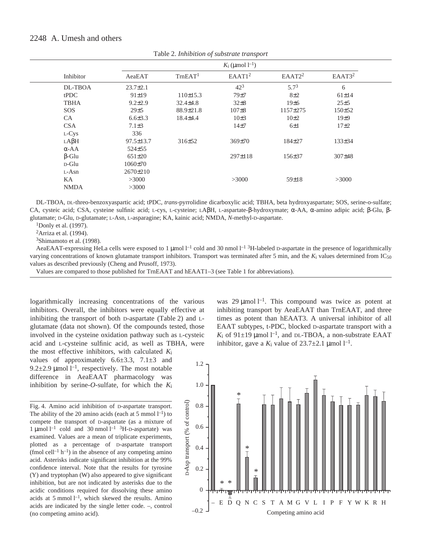|              | $K_i$ (µmol $l^{-1}$ ) |                     |                    |                    |                    |  |  |
|--------------|------------------------|---------------------|--------------------|--------------------|--------------------|--|--|
| Inhibitor    | AeaEAT                 | TrnEAT <sup>1</sup> | EAAT1 <sup>2</sup> | EAAT2 <sup>2</sup> | EAAT3 <sup>2</sup> |  |  |
| DL-TBOA      | $23.7 \pm 2.1$         |                     | $42^{3}$           | $5.7^{3}$          | 6                  |  |  |
| tPDC         | $91 \pm 19$            | 110±15.3            | 79±7               | $8\pm2$            | $61 \pm 14$        |  |  |
| <b>TBHA</b>  | $9.2 \pm 2.9$          | $32.4 \pm 4.8$      | $32\pm8$           | 19±6               | $25 + 5$           |  |  |
| SOS          | 29±5                   | $88.9 \pm 21.8$     | 107 <sub>±8</sub>  | 1157±275           | 150±52             |  |  |
| CA           | $6.6{\pm}3.3$          | $18.4 \pm 4.4$      | $10\pm3$           | $10\pm 2$          | 19±9               |  |  |
| <b>CSA</b>   | $7.1 \pm 3$            |                     | 14 <sub>±7</sub>   | $6\pm1$            | $17\pm2$           |  |  |
| L-Cys        | 336                    |                     |                    |                    |                    |  |  |
| $LA\beta H$  | $97.5 \pm 13.7$        | 316±52              | 369±70             | $184 + 27$         | $133\pm34$         |  |  |
| $\alpha$ -AA | $524 \pm 55$           |                     |                    |                    |                    |  |  |
| $\beta$ -Glu | $651 \pm 20$           |                     | 297±118            | 156±37             | $307\pm48$         |  |  |
| $D$ -Glu     | $1060 \pm 70$          |                     |                    |                    |                    |  |  |
| L-Asn        | $2670 \pm 210$         |                     |                    |                    |                    |  |  |
| KA           | >3000                  |                     | >3000              | $59 \pm 18$        | >3000              |  |  |
| <b>NMDA</b>  | >3000                  |                     |                    |                    |                    |  |  |
|              |                        |                     |                    |                    |                    |  |  |

Table·2. *Inhibition of substrate transport*

DL-TBOA, DL-threo-benzoxyaspartic acid; tPDC, *trans*-pyrrolidine dicarboxylic acid; TBHA, beta hydroxyaspartate; SOS, serine-o-sulfate; CA, cysteic acid; CSA, cysteine sulfinic acid; L-cys, L-cysteine; LAβH, L-aspartate-β-hydroxymate; α-AA, α-amino adipic acid; β-Glu, βglutamate; D-Glu, D-glutamate; L-Asn, L-asparagine; KA, kainic acid; NMDA, *N*-methyl-D-aspartate.

1Donly et al. (1997).

2Arriza et al. (1994).

3Shimamoto et al. (1998).

AeaEAAT-expressing HeLa cells were exposed to 1  $\mu$ mol  $l^{-1}$  cold and 30 nmol  $l^{-1}$  <sup>3</sup>H-labeled D-aspartate in the presence of logarithmically varying concentrations of known glutamate transport inhibitors. Transport was terminated after 5 min, and the  $K_i$  values determined from IC<sub>50</sub> values as described previously (Cheng and Prusoff, 1973).

Values are compared to those published for TrnEAAT and hEAAT1–3 (see Table 1 for abbreviations).

logarithmically increasing concentrations of the various inhibitors. Overall, the inhibitors were equally effective at inhibiting the transport of both  $D$ -aspartate (Table 2) and  $L$ glutamate (data not shown). Of the compounds tested, those involved in the cysteine oxidation pathway such as L-cysteic acid and L-cysteine sulfinic acid, as well as TBHA, were

the most effective inhibitors, with calculated *K*i values of approximately  $6.6\pm3.3$ ,  $7.1\pm3$  and 9.2 $\pm$ 2.9 µmol l<sup>-1</sup>, respectively. The most notable difference in AeaEAAT pharmacology was inhibition by serine- $O$ -sulfate, for which the  $K_i$ 

Fig. 4. Amino acid inhibition of D-aspartate transport. The ability of the 20 amino acids (each at 5 mmol  $l^{-1}$ ) to compete the transport of D-aspartate (as a mixture of 1 µmol  $l^{-1}$  cold and 30 nmol  $l^{-1}$  <sup>3</sup>H-D-aspartate) was examined. Values are a mean of triplicate experiments, plotted as a percentage of D-aspartate transport (fmol cell<sup>-1</sup> h<sup>-1</sup>) in the absence of any competing amino acid. Asterisks indicate significant inhibition at the 99% confidence interval. Note that the results for tyrosine (Y) and tryptophan (W) also appeared to give significant inhibition, but are not indicated by asterisks due to the acidic conditions required for dissolving these amino acids at 5 mmol<sup> $-l$ </sup>, which skewed the results. Amino acids are indicated by the single letter code. –, control (no competing amino acid).

was 29  $\mu$ mol l<sup>-1</sup>. This compound was twice as potent at inhibiting transport by AeaEAAT than TrnEAAT, and three times as potent than hEAAT3. A universal inhibitor of all EAAT subtypes, t*-*PDC, blocked D-aspartate transport with a  $K_i$  of 91 $\pm$ 19 µmol l<sup>-1</sup>, and DL-TBOA, a non-substrate EAAT inhibitor, gave a  $K_i$  value of  $23.7 \pm 2.1 \,\mu\text{mol} \, \text{m}^{-1}$ .

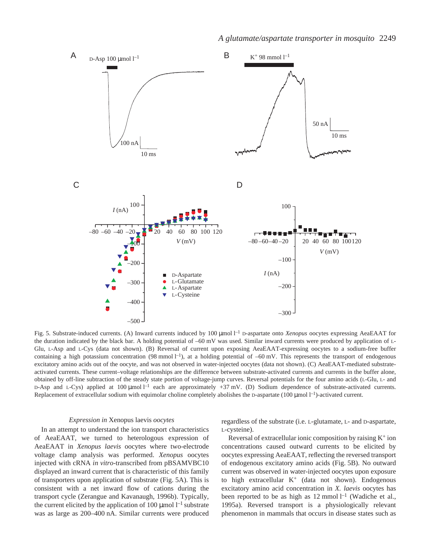

Fig. 5. Substrate-induced currents. (A) Inward currents induced by 100 µmol l<sup>-1</sup> D-aspartate onto *Xenopus* oocytes expressing AeaEAAT for the duration indicated by the black bar. A holding potential of -60 mV was used. Similar inward currents were produced by application of L-Glu, L-Asp and L-Cys (data not shown). (B) Reversal of current upon exposing AeaEAAT-expressing oocytes to a sodium-free buffer containing a high potassium concentration (98 mmol  $l^{-1}$ ), at a holding potential of  $-60$  mV. This represents the transport of endogenous excitatory amino acids out of the oocyte, and was not observed in water-injected oocytes (data not shown). (C) AeaEAAT-mediated substrateactivated currents. These current–voltage relationships are the difference between substrate-activated currents and currents in the buffer alone, obtained by off-line subtraction of the steady state portion of voltage-jump curves. Reversal potentials for the four amino acids (L-Glu, L- and D-Asp and L-Cys) applied at 100  $\mu$ mol  $l^{-1}$  each are approximately +37 mV. (D) Sodium dependence of substrate-activated currents. Replacement of extracellular sodium with equimolar choline completely abolishes the D-aspartate (100 µmol l<sup>-1</sup>)-activated current.

#### *Expression in* Xenopus laevis *oocytes*

In an attempt to understand the ion transport characteristics of AeaEAAT, we turned to heterologous expression of AeaEAAT in *Xenopus laevis* oocytes where two-electrode voltage clamp analysis was performed. *Xenopus* oocytes injected with cRNA *in vitro*-transcribed from pBSAMVBC10 displayed an inward current that is characteristic of this family of transporters upon application of substrate (Fig. 5A). This is consistent with a net inward flow of cations during the transport cycle (Zerangue and Kavanaugh, 1996b). Typically, the current elicited by the application of 100  $\mu$ mol  $l^{-1}$  substrate was as large as 200–400 nA. Similar currents were produced regardless of the substrate (i.e. L-glutamate, L- and D-aspartate, L-cysteine).

Reversal of extracellular ionic composition by raising  $K^+$  ion concentrations caused outward currents to be elicited by oocytes expressing AeaEAAT, reflecting the reversed transport of endogenous excitatory amino acids (Fig. 5B). No outward current was observed in water-injected oocytes upon exposure to high extracellular  $K^+$  (data not shown). Endogenous excitatory amino acid concentration in *X. laevis* oocytes has been reported to be as high as  $12$  mmol  $l^{-1}$  (Wadiche et al., 1995a). Reversed transport is a physiologically relevant phenomenon in mammals that occurs in disease states such as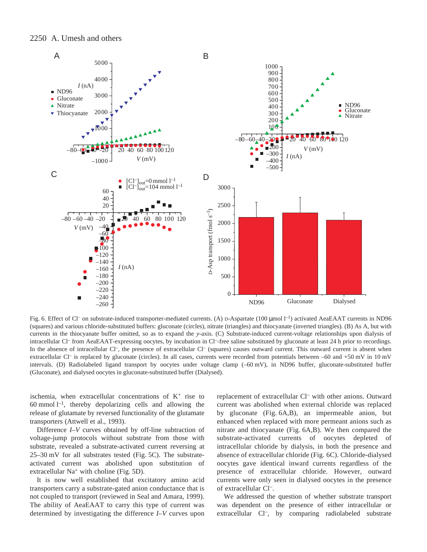

Fig. 6. Effect of Cl<sup>-</sup> on substrate-induced transporter-mediated currents. (A) D-Aspartate (100 µmol l<sup>-1</sup>) activated AeaEAAT currents in ND96 (squares) and various chloride-substituted buffers: gluconate (circles), nitrate (triangles) and thiocyanate (inverted triangles)*.* (B) As A, but with currents in the thiocyanate buffer omitted, so as to expand the *y*-axis. (C) Substrate-induced current-voltage relationships upon dialysis of intracellular Cl<sup>-</sup> from AeaEAAT-expressing oocytes, by incubation in Cl<sup>-</sup>-free saline substituted by gluconate at least 24 h prior to recordings. In the absence of intracellular Cl<sup>-</sup>, the presence of extracellular Cl<sup>-</sup> (squares) causes outward current. This outward current is absent when extracellular Cl<sup>-</sup> is replaced by gluconate (circles). In all cases, currents were recorded from potentials between  $-60$  and  $+50$  mV in 10 mV intervals. (D) Radiolabeled ligand transport by oocytes under voltage clamp (-60 mV), in ND96 buffer, gluconate-substituted buffer (Gluconate), and dialysed oocytes in gluconate-substituted buffer (Dialysed).

ischemia, when extracellular concentrations of  $K^+$  rise to 60 mmol  $1^{-1}$ , thereby depolarizing cells and allowing the release of glutamate by reversed functionality of the glutamate transporters (Attwell et al., 1993).

Difference *I–V* curves obtained by off-line subtraction of voltage-jump protocols without substrate from those with substrate, revealed a substrate-activated current reversing at  $25-30$  mV for all substrates tested (Fig. 5C). The substrateactivated current was abolished upon substitution of extracellular  $Na^+$  with choline (Fig. 5D).

It is now well established that excitatory amino acid transporters carry a substrate-gated anion conductance that is not coupled to transport (reviewed in Seal and Amara, 1999). The ability of AeaEAAT to carry this type of current was determined by investigating the difference *I–V* curves upon replacement of extracellular Cl– with other anions. Outward current was abolished when external chloride was replaced by gluconate (Fig. 6A,B), an impermeable anion, but enhanced when replaced with more permeant anions such as nitrate and thiocyanate (Fig.  $6A,B$ ). We then compared the substrate-activated currents of oocytes depleted of intracellular chloride by dialysis, in both the presence and absence of extracellular chloride (Fig. 6C). Chloride-dialysed oocytes gave identical inward currents regardless of the presence of extracellular chloride. However, outward currents were only seen in dialysed oocytes in the presence of extracellular Cl–.

We addressed the question of whether substrate transport was dependent on the presence of either intracellular or extracellular Cl<sup>-</sup>, by comparing radiolabeled substrate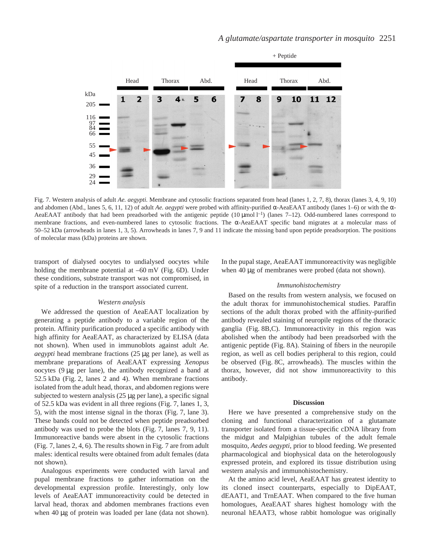

Fig. 7. Western analysis of adult *Ae. aegypti.* Membrane and cytosolic fractions separated from head (lanes 1, 2, 7, 8), thorax (lanes 3, 4, 9, 10) and abdomen (Abd., lanes 5, 6, 11, 12) of adult *Ae. aegypti* were probed with affinity-purified α-AeaEAAT antibody (lanes 1–6) or with the α-AeaEAAT antibody that had been preadsorbed with the antigenic peptide  $(10 \,\mu\text{mol}\,l^{-1})$  (lanes  $7-12$ ). Odd-numbered lanes correspond to membrane fractions, and even-numbered lanes to cytosolic fractions. The α-AeaEAAT specific band migrates at a molecular mass of 50–52·kDa (arrowheads in lanes 1, 3, 5). Arrowheads in lanes 7, 9 and 11 indicate the missing band upon peptide preadsorption. The positions of molecular mass (kDa) proteins are shown.

transport of dialysed oocytes to undialysed oocytes while holding the membrane potential at  $-60~\text{mV}$  (Fig. 6D). Under these conditions, substrate transport was not compromised, in spite of a reduction in the transport associated current.

#### *Western analysis*

We addressed the question of AeaEAAT localization by generating a peptide antibody to a variable region of the protein. Affinity purification produced a specific antibody with high affinity for AeaEAAT, as characterized by ELISA (data not shown). When used in immunoblots against adult *Ae. aegypti* head membrane fractions (25 µg per lane), as well as membrane preparations of AeaEAAT expressing *Xenopus* oocytes  $(9 \mu g$  per lane), the antibody recognized a band at 52.5 kDa (Fig. 2, lanes 2 and 4). When membrane fractions isolated from the adult head, thorax, and abdomen regions were subjected to western analysis  $(25 \mu g)$  per lane), a specific signal of 52.5 kDa was evident in all three regions (Fig. 7, lanes 1, 3, 5), with the most intense signal in the thorax (Fig. 7, lane 3). These bands could not be detected when peptide preadsorbed antibody was used to probe the blots (Fig.  $7$ , lanes  $7, 9, 11$ ). Immunoreactive bands were absent in the cytosolic fractions (Fig. 7, lanes  $2, 4, 6$ ). The results shown in Fig. 7 are from adult males: identical results were obtained from adult females (data not shown).

Analogous experiments were conducted with larval and pupal membrane fractions to gather information on the developmental expression profile. Interestingly, only low levels of AeaEAAT immunoreactivity could be detected in larval head, thorax and abdomen membranes fractions even when  $40 \mu$ g of protein was loaded per lane (data not shown). In the pupal stage, AeaEAAT immunoreactivity was negligible when  $40 \mu$ g of membranes were probed (data not shown).

#### *Immunohistochemistry*

Based on the results from western analysis, we focused on the adult thorax for immunohistochemical studies. Paraffin sections of the adult thorax probed with the affinity-purified antibody revealed staining of neuropile regions of the thoracic ganglia (Fig. 8B,C). Immunoreactivity in this region was abolished when the antibody had been preadsorbed with the antigenic peptide (Fig. 8A). Staining of fibers in the neuropile region, as well as cell bodies peripheral to this region, could be observed (Fig. 8C, arrowheads). The muscles within the thorax, however, did not show immunoreactivity to this antibody.

#### **Discussion**

Here we have presented a comprehensive study on the cloning and functional characterization of a glutamate transporter isolated from a tissue-specific cDNA library from the midgut and Malpighian tubules of the adult female mosquito, *Aedes aegypti*, prior to blood feeding. We presented pharmacological and biophysical data on the heterologously expressed protein, and explored its tissue distribution using western analysis and immunohistochemistry.

At the amino acid level, AeaEAAT has greatest identity to its cloned insect counterparts, especially to DipEAAT, dEAAT1, and TrnEAAT. When compared to the five human homologues, AeaEAAT shares highest homology with the neuronal hEAAT3, whose rabbit homologue was originally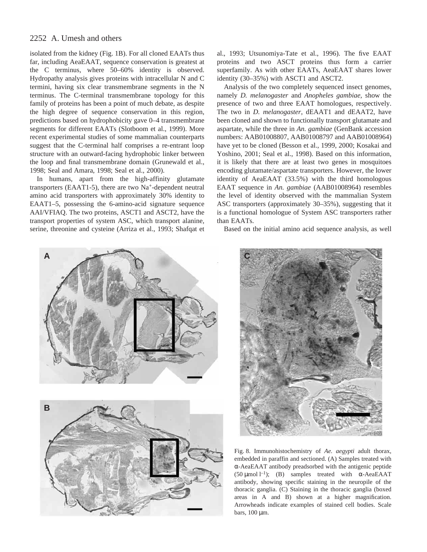isolated from the kidney (Fig. 1B). For all cloned EAATs thus far, including AeaEAAT, sequence conservation is greatest at the C terminus, where 50–60% identity is observed. Hydropathy analysis gives proteins with intracellular N and C termini, having six clear transmembrane segments in the N terminus. The C-terminal transmembrane topology for this family of proteins has been a point of much debate, as despite the high degree of sequence conservation in this region, predictions based on hydrophobicity gave 0–4 transmembrane segments for different EAATs (Slotboom et al., 1999). More recent experimental studies of some mammalian counterparts suggest that the C-terminal half comprises a re-entrant loop structure with an outward-facing hydrophobic linker between the loop and final transmembrane domain (Grunewald et al., 1998; Seal and Amara, 1998; Seal et al., 2000).

In humans, apart from the high-affinity glutamate transporters (EAAT1-5), there are two  $Na<sup>+</sup>$ -dependent neutral amino acid transporters with approximately 30% identity to EAAT1–5, possessing the 6-amino-acid signature sequence AAI/VFIAQ. The two proteins, ASCT1 and ASCT2, have the transport properties of system ASC, which transport alanine, serine, threonine and cysteine (Arriza et al., 1993; Shafqat et

al., 1993; Utsunomiya-Tate et al., 1996). The five EAAT proteins and two ASCT proteins thus form a carrier superfamily. As with other EAATs, AeaEAAT shares lower identity (30–35%) with ASCT1 and ASCT2.

Analysis of the two completely sequenced insect genomes, namely *D. melanogaster* and *Anopheles gambiae*, show the presence of two and three EAAT homologues, respectively. The two in *D. melanogaster*, dEAAT1 and dEAAT2, have been cloned and shown to functionally transport glutamate and aspartate, while the three in *An. gambiae* (GenBank accession numbers: AAB01008807, AAB01008797 and AAB01008964) have yet to be cloned (Besson et al., 1999, 2000; Kosakai and Yoshino, 2001; Seal et al., 1998). Based on this information, it is likely that there are at least two genes in mosquitoes encoding glutamate/aspartate transporters. However, the lower identity of AeaEAAT (33.5%) with the third homologous EAAT sequence in *An. gambiae* (AAB01008964) resembles the level of identity observed with the mammalian System ASC transporters (approximately 30–35%), suggesting that it is a functional homologue of System ASC transporters rather than EAATs.

Based on the initial amino acid sequence analysis, as well







Fig. 8. Immunohistochemistry of *Ae. aegypti* adult thorax, embedded in paraffin and sectioned. (A) Samples treated with α-AeaEAAT antibody preadsorbed with the antigenic peptide (50  $\mu$ mol l<sup>-1</sup>); (B) samples treated with  $\alpha$ -AeaEAAT antibody, showing specific staining in the neuropile of the thoracic ganglia. (C) Staining in the thoracic ganglia (boxed areas in A and B) shown at a higher magnification. Arrowheads indicate examples of stained cell bodies. Scale bars,  $100 \mu m$ .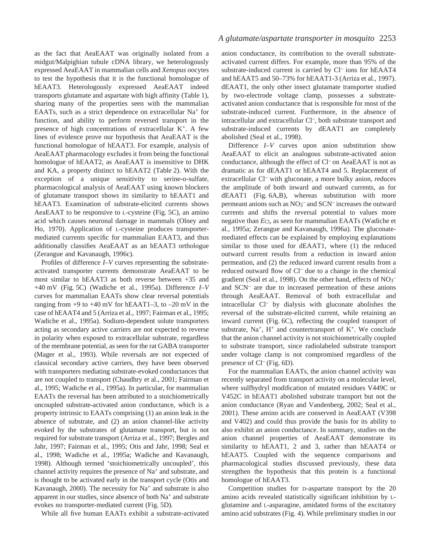as the fact that AeaEAAT was originally isolated from a midgut/Malpighian tubule cDNA library, we heterologously expressed AeaEAAT in mammalian cells and *Xenopus* oocytes to test the hypothesis that it is the functional homologue of hEAAT3. Heterologously expressed AeaEAAT indeed transports glutamate and aspartate with high affinity (Table·1), sharing many of the properties seen with the mammalian EAATs, such as a strict dependence on extracellular Na<sup>+</sup> for function, and ability to perform reversed transport in the presence of high concentrations of extracellular  $K^+$ . A few lines of evidence prove our hypothesis that AeaEAAT is the functional homologue of hEAAT3. For example, analysis of AeaEAAT pharmacology excludes it from being the functional homologue of hEAAT2, as AeaEAAT is insensitive to DHK and KA, a property distinct to hEAAT2 (Table 2). With the exception of a unique sensitivity to serine-o-sulfate, pharmacological analysis of AeaEAAT using known blockers of glutamate transport shows its similarity to hEAAT1 and hEAAT3. Examination of substrate-elicited currents shows AeaEAAT to be responsive to *L*-cysteine (Fig. 5C), an amino acid which causes neuronal damage in mammals (Olney and Ho, 1970). Application of L-cysteine produces transportermediated currents specific for mammalian EAAT3, and thus additionally classifies AeaEAAT as an hEAAT3 orthologue (Zerangue and Kavanaugh, 1996c).

Profiles of difference *I–V* curves representing the substrateactivated transporter currents demonstrate AeaEAAT to be most similar to hEAAT3 as both reverse between +35 and +40 mV (Fig. 5C) (Wadiche et al., 1995a). Difference *I*-V curves for mammalian EAATs show clear reversal potentials ranging from  $+9$  to  $+40$  mV for hEAAT1–3, to  $-20$  mV in the case of hEAAT4 and 5 (Arriza et al., 1997; Fairman et al., 1995; Wadiche et al., 1995a). Sodium-dependent solute transporters acting as secondary active carriers are not expected to reverse in polarity when exposed to extracellular substrate, regardless of the membrane potential, as seen for the rat GABA transporter (Mager et al., 1993). While reversals are not expected of classical secondary active carriers, they have been observed with transporters mediating substrate-evoked conductances that are not coupled to transport (Chaudhry et al., 2001; Fairman et al., 1995; Wadiche et al., 1995a). In particular, for mammalian EAATs the reversal has been attributed to a stoichiometrically uncoupled substrate-activated anion conductance, which is a property intrinsic to EAATs comprising (1) an anion leak in the absence of substrate, and (2) an anion channel-like activity evoked by the substrates of glutamate transport, but is not required for substrate transport (Arriza et al., 1997; Bergles and Jahr, 1997; Fairman et al., 1995; Otis and Jahr, 1998; Seal et al., 1998; Wadiche et al., 1995a; Wadiche and Kavanaugh, 1998). Although termed 'stoichiometrically uncoupled', this channel activity requires the presence of Na+ and substrate, and is thought to be activated early in the transport cycle (Otis and Kavanaugh, 2000). The necessity for  $Na<sup>+</sup>$  and substrate is also apparent in our studies, since absence of both Na+ and substrate evokes no transporter-mediated current (Fig. 5D).

While all five human EAATs exhibit a substrate-activated

### *A glutamate/aspartate transporter in mosquito* 2253

anion conductance, its contribution to the overall substrateactivated current differs. For example, more than 95% of the substrate-induced current is carried by Cl– ions for hEAAT4 and hEAAT5 and 50–73% for hEAAT1-3 (Arriza et al., 1997). dEAAT1, the only other insect glutamate transporter studied by two-electrode voltage clamp, possesses a substrateactivated anion conductance that is responsible for most of the substrate-induced current. Furthermore, in the absence of intracellular and extracellular Cl–, both substrate transport and substrate-induced currents by dEAAT1 are completely abolished (Seal et al., 1998).

Difference *I*–*V* curves upon anion substitution show AeaEAAT to elicit an analogous substrate-activated anion conductance, although the effect of Cl– on AeaEAAT is not as dramatic as for dEAAT1 or hEAAT4 and 5. Replacement of extracellular Cl<sup>-</sup> with gluconate, a more bulky anion, reduces the amplitude of both inward and outward currents, as for dEAAT1 (Fig. 6A,B), whereas substitution with more permeant anions such as  $NO<sub>3</sub><sup>-</sup>$  and SCN<sup>-</sup> increases the outward currents and shifts the reversal potential to values more negative than *E*Cl, as seen for mammalian EAATs (Wadiche et al., 1995a; Zerangue and Kavanaugh, 1996a). The gluconatemediated effects can be explained by employing explanations similar to those used for dEAAT1, where (1) the reduced outward current results from a reduction in inward anion permeation, and (2) the reduced inward current results from a reduced outward flow of Cl– due to a change in the chemical gradient (Seal et al., 1998). On the other hand, effects of NO<sub>3</sub><sup>-</sup> and SCN– are due to increased permeation of these anions through AeaEAAT. Removal of both extracellular and intracellular Cl– by dialysis with gluconate abolishes the reversal of the substrate-elicited current, while retaining an inward current (Fig. 6C), reflecting the coupled transport of substrate,  $Na^+$ ,  $H^+$  and countertransport of  $K^+$ . We conclude that the anion channel activity is not stoichiometrically coupled to substrate transport, since radiolabeled substrate transport under voltage clamp is not compromised regardless of the presence of  $Cl^-$  (Fig. 6D).

For the mammalian EAATs, the anion channel activity was recently separated from transport activity on a molecular level, where sulfhydryl modification of mutated residues V449C or V452C in hEAAT1 abolished substrate transport but not the anion conductance (Ryan and Vandenberg, 2002; Seal et al., 2001). These amino acids are conserved in AeaEAAT (V398 and V402) and could thus provide the basis for its ability to also exhibit an anion conductance. In summary, studies on the anion channel properties of AeaEAAT demonstrate its similarity to hEAAT1, 2 and 3, rather than hEAAT4 or hEAAT5. Coupled with the sequence comparisons and pharmacological studies discussed previously, these data strengthen the hypothesis that this protein is a functional homologue of hEAAT3.

Competition studies for D-aspartate transport by the 20 amino acids revealed statistically significant inhibition by Lglutamine and L-asparagine, amidated forms of the excitatory amino acid substrates (Fig. 4). While preliminary studies in our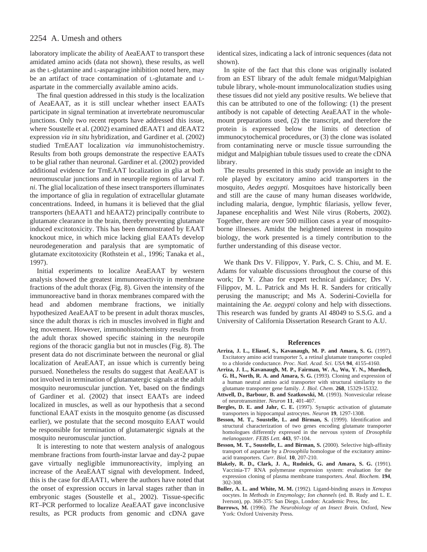laboratory implicate the ability of AeaEAAT to transport these amidated amino acids (data not shown), these results, as well as the L-glutamine and L-asparagine inhibition noted here, may be an artifact of trace contamination of L-glutamate and Laspartate in the commercially available amino acids.

The final question addressed in this study is the localization of AeaEAAT, as it is still unclear whether insect EAATs participate in signal termination at invertebrate neuromuscular junctions. Only two recent reports have addressed this issue, where Soustelle et al. (2002) examined dEAAT1 and dEAAT2 expression *via in situ* hybridization, and Gardiner et al. (2002) studied TrnEAAT localization *via* immunohistochemistry. Results from both groups demonstrate the respective EAATs to be glial rather than neuronal. Gardiner et al. (2002) provided additional evidence for TrnEAAT localization in glia at both neuromuscular junctions and in neuropile regions of larval *T. ni*. The glial localization of these insect transporters illuminates the importance of glia in regulation of extracellular glutamate concentrations. Indeed, in humans it is believed that the glial transporters (hEAAT1 and hEAAT2) principally contribute to glutamate clearance in the brain, thereby preventing glutamate induced excitotoxicity. This has been demonstrated by EAAT knockout mice, in which mice lacking glial EAATs develop neurodegeneration and paralysis that are symptomatic of glutamate excitotoxicity (Rothstein et al., 1996; Tanaka et al., 1997).

Initial experiments to localize AeaEAAT by western analysis showed the greatest immunoreactivity in membrane fractions of the adult thorax (Fig. 8). Given the intensity of the immunoreactive band in thorax membranes compared with the head and abdomen membrane fractions, we initially hypothesized AeaEAAT to be present in adult thorax muscles, since the adult thorax is rich in muscles involved in flight and leg movement. However, immunohistochemistry results from the adult thorax showed specific staining in the neuropile regions of the thoracic ganglia but not in muscles (Fig. 8). The present data do not discriminate between the neuronal or glial localization of AeaEAAT, an issue which is currently being pursued. Nonetheless the results do suggest that AeaEAAT is not involved in termination of glutamatergic signals at the adult mosquito neuromuscular junction. Yet, based on the findings of Gardiner et al. (2002) that insect EAATs are indeed localized in muscles, as well as our hypothesis that a second functional EAAT exists in the mosquito genome (as discussed earlier), we postulate that the second mosquito EAAT would be responsible for termination of glutamatergic signals at the mosquito neuromuscular junction.

It is interesting to note that western analysis of analogous membrane fractions from fourth-instar larvae and day-2 pupae gave virtually negligible immunoreactivity, implying an increase of the AeaEAAT signal with development. Indeed, this is the case for dEAAT1, where the authors have noted that the onset of expression occurs in larval stages rather than in embryonic stages (Soustelle et al., 2002). Tissue-specific RT–PCR performed to localize AeaEAAT gave inconclusive results, as PCR products from genomic and cDNA gave identical sizes, indicating a lack of intronic sequences (data not shown).

In spite of the fact that this clone was originally isolated from an EST library of the adult female midgut/Malpighian tubule library, whole-mount immunolocalization studies using these tissues did not yield any positive results. We believe that this can be attributed to one of the following: (1) the present antibody is not capable of detecting AeaEAAT in the wholemount preparations used, (2) the transcript, and therefore the protein is expressed below the limits of detection of immunocytochemical procedures, or (3) the clone was isolated from contaminating nerve or muscle tissue surrounding the midgut and Malpighian tubule tissues used to create the cDNA library.

The results presented in this study provide an insight to the role played by excitatory amino acid transporters in the mosquito, *Aedes aegypti.* Mosquitoes have historically been and still are the cause of many human diseases worldwide, including malaria, dengue, lymphtic filariasis, yellow fever, Japanese encephalitis and West Nile virus (Roberts, 2002). Together, there are over 500 million cases a year of mosquitoborne illnesses. Amidst the heightened interest in mosquito biology, the work presented is a timely contribution to the further understanding of this disease vector.

We thank Drs V. Filippov, Y. Park, C. S. Chiu, and M. E. Adams for valuable discussions throughout the course of this work; Dr Y. Zhao for expert technical guidance; Drs V. Filippov, M. L. Patrick and Ms H. R. Sanders for critically perusing the manuscript; and Ms A. Soderini-Coviella for maintaining the *Ae. aegypti* colony and help with dissections. This research was funded by grants AI 48049 to S.S.G. and a University of California Dissertation Research Grant to A.U.

#### **References**

- **Arriza, J. L., Eliasof, S., Kavanaugh, M. P. and Amara, S. G.** (1997). Excitatory amino acid transporter 5, a retinal glutamate transporter coupled to a chloride conductance. *Proc. Natl. Acad. Sci. USA* **94**, 4155-4160.
- **Arriza, J. L., Kavanaugh, M. P., Fairman, W. A., Wu, Y. N., Murdoch, G. H., North, R. A. and Amara, S. G.** (1993). Cloning and expression of a human neutral amino acid transporter with structural similarity to the glutamate transporter gene family. *J. Biol. Chem*. **268**, 15329-15332.
- **Attwell, D., Barbour, B. and Szatkowski, M.** (1993). Nonvesicular release of neurotransmitter. *Neuron* **11**, 401-407.
- **Bergles, D. E. and Jahr, C. E.** (1997). Synaptic activation of glutamate transporters in hippocampal astrocytes. *Neuron* **19**, 1297-1308.
- **Besson, M. T., Soustelle, L. and Birman, S.** (1999). Identification and structural characterization of two genes encoding glutamate transporter homologues differently expressed in the nervous system of *Drosophila melanogaster. FEBS Lett.* **443**, 97-104.
- **Besson, M. T., Soustelle, L. and Birman, S.** (2000). Selective high-affinity transport of aspartate by a *Drosophila* homologue of the excitatory aminoacid transporters. *Curr. Biol.* **10**, 207-210.
- **Blakely, R. D., Clark, J. A., Rudnick, G. and Amara, S. G.** (1991). Vaccinia-T7 RNA polymerase expression system: evaluation for the expression cloning of plasma membrane transporters. *Anal. Biochem.* **194**, 302-308.
- **Buller, A. L. and White, M. M.** (1992). Ligand-binding assays in *Xenopus* oocytes. In *Methods in Enzymology; Ion channels* (ed. B. Rudy and L. E. Iverson), pp. 368-375: San Diego, London: Academic Press, Inc.
- **Burrows, M.** (1996). *The Neurobiology of an Insect Brain*. Oxford, New York: Oxford University Press.